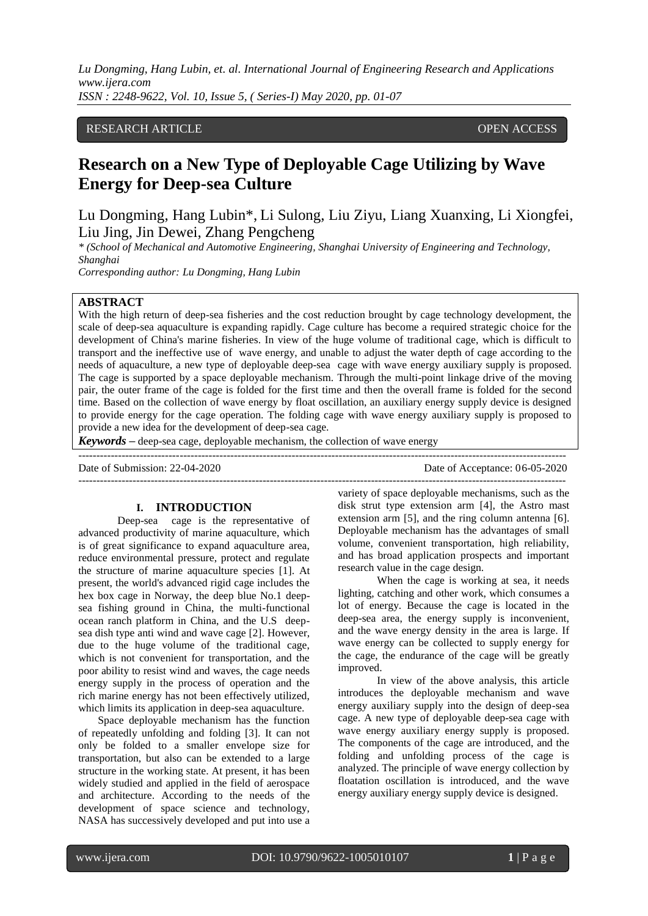# RESEARCH ARTICLE **CONSERVERS** OPEN ACCESS

# **Research on a New Type of Deployable Cage Utilizing by Wave Energy for Deep-sea Culture**

Lu Dongming, Hang Lubin\*, Li Sulong, Liu Ziyu, Liang Xuanxing, Li Xiongfei, Liu Jing, Jin Dewei, Zhang Pengcheng

*\* (School of Mechanical and Automotive Engineering, Shanghai University of Engineering and Technology, Shanghai*

*Corresponding author: Lu Dongming, Hang Lubin*

# **ABSTRACT**

With the high return of deep-sea fisheries and the cost reduction brought by cage technology development, the scale of deep-sea aquaculture is expanding rapidly. Cage culture has become a required strategic choice for the development of China's marine fisheries. In view of the huge volume of traditional cage, which is difficult to transport and the ineffective use of wave energy, and unable to adjust the water depth of cage according to the needs of aquaculture, a new type of deployable deep-sea cage with wave energy auxiliary supply is proposed. The cage is supported by a space deployable mechanism. Through the multi-point linkage drive of the moving pair, the outer frame of the cage is folded for the first time and then the overall frame is folded for the second time. Based on the collection of wave energy by float oscillation, an auxiliary energy supply device is designed to provide energy for the cage operation. The folding cage with wave energy auxiliary supply is proposed to provide a new idea for the development of deep-sea cage.

---------------------------------------------------------------------------------------------------------------------------------------

---------------------------------------------------------------------------------------------------------------------------------------

*Keywords* **–** deep-sea cage, deployable mechanism, the collection of wave energy

Date of Submission: 22-04-2020 Date of Acceptance: 06-05-2020

### **I. INTRODUCTION**

Deep-sea cage is the representative of advanced productivity of marine aquaculture, which is of great significance to expand aquaculture area, reduce environmental pressure, protect and regulate the structure of marine aquaculture species [1]. At present, the world's advanced rigid cage includes the hex box cage in Norway, the deep blue No.1 deepsea fishing ground in China, the multi-functional ocean ranch platform in China, and the U.S deepsea dish type anti wind and wave cage [2]. However, due to the huge volume of the traditional cage, which is not convenient for transportation, and the poor ability to resist wind and waves, the cage needs energy supply in the process of operation and the rich marine energy has not been effectively utilized, which limits its application in deep-sea aquaculture.

Space deployable mechanism has the function of repeatedly unfolding and folding [3]. It can not only be folded to a smaller envelope size for transportation, but also can be extended to a large structure in the working state. At present, it has been widely studied and applied in the field of aerospace and architecture. According to the needs of the development of space science and technology, NASA has successively developed and put into use a

variety of space deployable mechanisms, such as the disk strut type extension arm [4], the Astro mast extension arm [5], and the ring column antenna [6]. Deployable mechanism has the advantages of small volume, convenient transportation, high reliability, and has broad application prospects and important research value in the cage design.

When the cage is working at sea, it needs lighting, catching and other work, which consumes a lot of energy. Because the cage is located in the deep-sea area, the energy supply is inconvenient, and the wave energy density in the area is large. If wave energy can be collected to supply energy for the cage, the endurance of the cage will be greatly improved.

In view of the above analysis, this article introduces the deployable mechanism and wave energy auxiliary supply into the design of deep-sea cage. A new type of deployable deep-sea cage with wave energy auxiliary energy supply is proposed. The components of the cage are introduced, and the folding and unfolding process of the cage is analyzed. The principle of wave energy collection by floatation oscillation is introduced, and the wave energy auxiliary energy supply device is designed.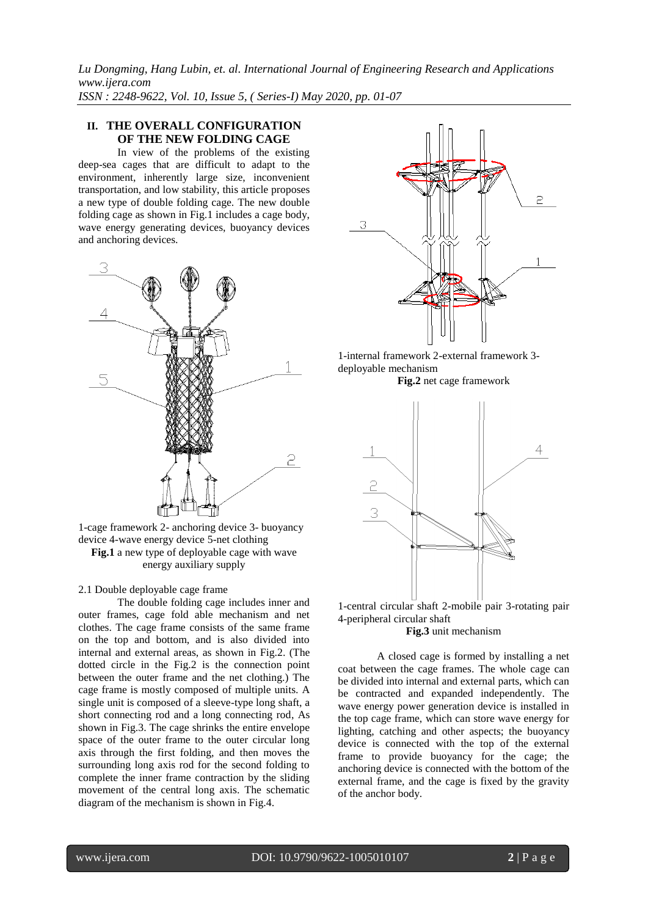# **II. THE OVERALL CONFIGURATION OF THE NEW FOLDING CAGE**

In view of the problems of the existing deep-sea cages that are difficult to adapt to the environment, inherently large size, inconvenient transportation, and low stability, this article proposes a new type of double folding cage. The new double folding cage as shown in Fig.1 includes a cage body, wave energy generating devices, buoyancy devices and anchoring devices.



1-cage framework 2- anchoring device 3- buoyancy device 4-wave energy device 5-net clothing **Fig.1** a new type of deployable cage with wave energy auxiliary supply

# 2.1 Double deployable cage frame

The double folding cage includes inner and outer frames, cage fold able mechanism and net clothes. The cage frame consists of the same frame on the top and bottom, and is also divided into internal and external areas, as shown in Fig.2. (The dotted circle in the Fig.2 is the connection point between the outer frame and the net clothing.) The cage frame is mostly composed of multiple units. A single unit is composed of a sleeve-type long shaft, a short connecting rod and a long connecting rod, As shown in Fig.3. The cage shrinks the entire envelope space of the outer frame to the outer circular long axis through the first folding, and then moves the surrounding long axis rod for the second folding to complete the inner frame contraction by the sliding movement of the central long axis. The schematic diagram of the mechanism is shown in Fig.4.



1-internal framework 2-external framework 3 deployable mechanism

**Fig.2** net cage framework



1-central circular shaft 2-mobile pair 3-rotating pair 4-peripheral circular shaft

#### **Fig.3** unit mechanism

A closed cage is formed by installing a net coat between the cage frames. The whole cage can be divided into internal and external parts, which can be contracted and expanded independently. The wave energy power generation device is installed in the top cage frame, which can store wave energy for lighting, catching and other aspects; the buoyancy device is connected with the top of the external frame to provide buoyancy for the cage; the anchoring device is connected with the bottom of the external frame, and the cage is fixed by the gravity of the anchor body.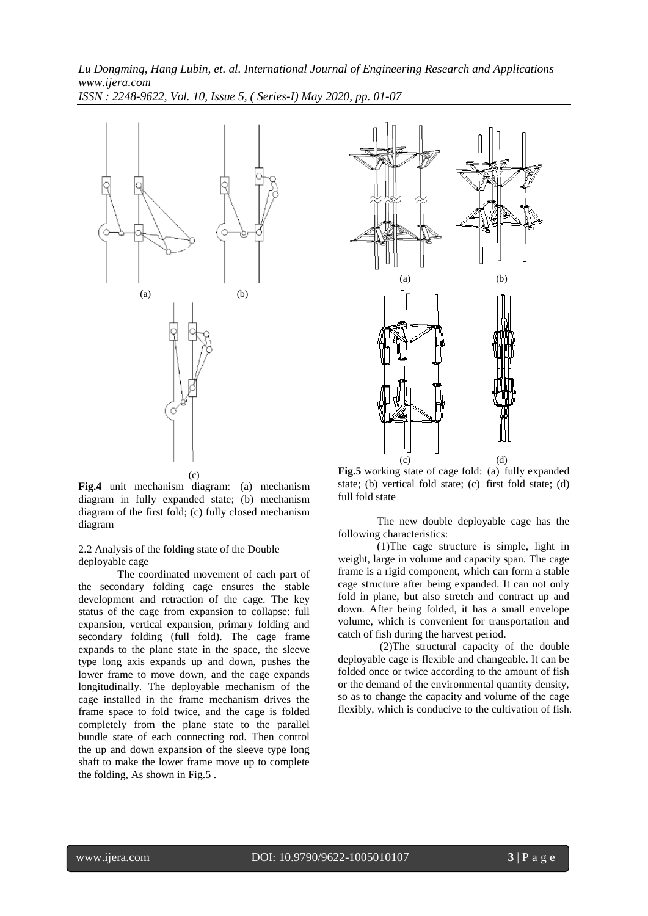

**Fig.4** unit mechanism diagram: (a) mechanism diagram in fully expanded state; (b) mechanism diagram of the first fold; (c) fully closed mechanism diagram

2.2 Analysis of the folding state of the Double deployable cage

The coordinated movement of each part of the secondary folding cage ensures the stable development and retraction of the cage. The key status of the cage from expansion to collapse: full expansion, vertical expansion, primary folding and secondary folding (full fold). The cage frame expands to the plane state in the space, the sleeve type long axis expands up and down, pushes the lower frame to move down, and the cage expands longitudinally. The deployable mechanism of the cage installed in the frame mechanism drives the frame space to fold twice, and the cage is folded completely from the plane state to the parallel bundle state of each connecting rod. Then control the up and down expansion of the sleeve type long shaft to make the lower frame move up to complete the folding, As shown in Fig.5 .



**Fig.5** working state of cage fold: (a) fully expanded state; (b) vertical fold state; (c) first fold state; (d) full fold state

The new double deployable cage has the following characteristics:

(1)The cage structure is simple, light in weight, large in volume and capacity span. The cage frame is a rigid component, which can form a stable cage structure after being expanded. It can not only fold in plane, but also stretch and contract up and down. After being folded, it has a small envelope volume, which is convenient for transportation and catch of fish during the harvest period.

(2)The structural capacity of the double deployable cage is flexible and changeable. It can be folded once or twice according to the amount of fish or the demand of the environmental quantity density, so as to change the capacity and volume of the cage flexibly, which is conducive to the cultivation of fish.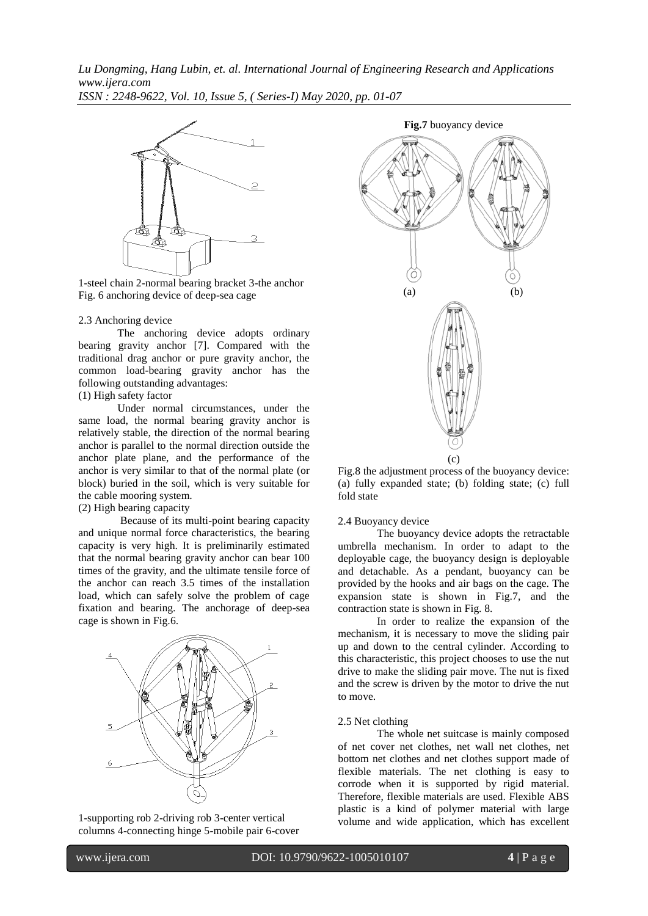*Lu Dongming, Hang Lubin, et. al. International Journal of Engineering Research and Applications www.ijera.com*

*ISSN : 2248-9622, Vol. 10, Issue 5, ( Series-I) May 2020, pp. 01-07*



1-steel chain 2-normal bearing bracket 3-the anchor Fig. 6 anchoring device of deep-sea cage

### 2.3 Anchoring device

The anchoring device adopts ordinary bearing gravity anchor [7]. Compared with the traditional drag anchor or pure gravity anchor, the common load-bearing gravity anchor has the following outstanding advantages:

# (1) High safety factor

Under normal circumstances, under the same load, the normal bearing gravity anchor is relatively stable, the direction of the normal bearing anchor is parallel to the normal direction outside the anchor plate plane, and the performance of the anchor is very similar to that of the normal plate (or block) buried in the soil, which is very suitable for the cable mooring system.

# (2) High bearing capacity

Because of its multi-point bearing capacity and unique normal force characteristics, the bearing capacity is very high. It is preliminarily estimated that the normal bearing gravity anchor can bear 100 times of the gravity, and the ultimate tensile force of the anchor can reach 3.5 times of the installation load, which can safely solve the problem of cage fixation and bearing. The anchorage of deep-sea cage is shown in Fig.6.



1-supporting rob 2-driving rob 3-center vertical columns 4-connecting hinge 5-mobile pair 6-cover



Fig.8 the adjustment process of the buoyancy device: (a) fully expanded state; (b) folding state; (c) full fold state

#### 2.4 Buoyancy device

The buoyancy device adopts the retractable umbrella mechanism. In order to adapt to the deployable cage, the buoyancy design is deployable and detachable. As a pendant, buoyancy can be provided by the hooks and air bags on the cage. The expansion state is shown in Fig.7, and the contraction state is shown in Fig. 8.

In order to realize the expansion of the mechanism, it is necessary to move the sliding pair up and down to the central cylinder. According to this characteristic, this project chooses to use the nut drive to make the sliding pair move. The nut is fixed and the screw is driven by the motor to drive the nut to move.

### 2.5 Net clothing

The whole net suitcase is mainly composed of net cover net clothes, net wall net clothes, net bottom net clothes and net clothes support made of flexible materials. The net clothing is easy to corrode when it is supported by rigid material. Therefore, flexible materials are used. Flexible ABS plastic is a kind of polymer material with large volume and wide application, which has excellent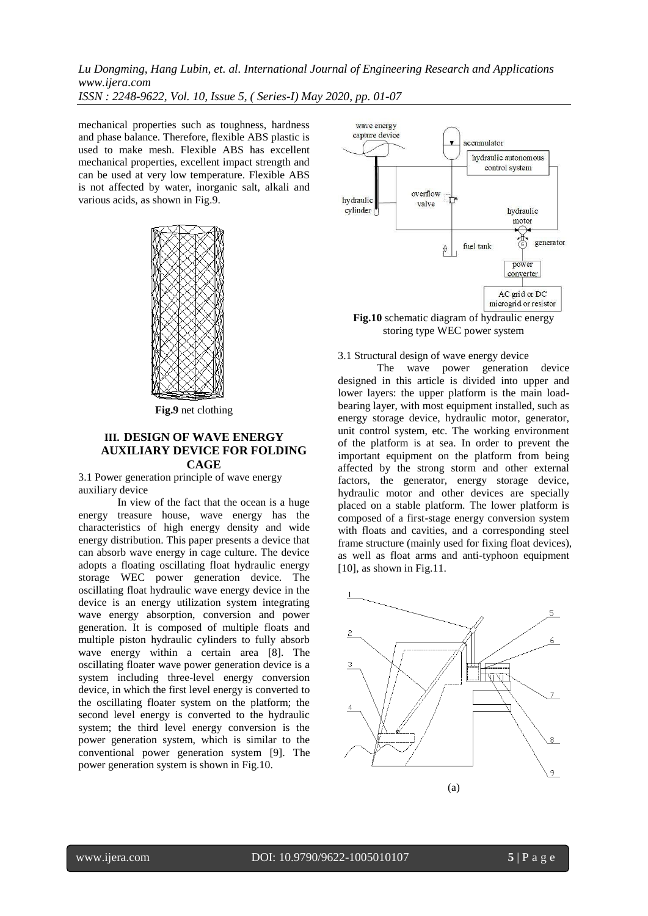mechanical properties such as toughness, hardness and phase balance. Therefore, flexible ABS plastic is used to make mesh. Flexible ABS has excellent mechanical properties, excellent impact strength and can be used at very low temperature. Flexible ABS is not affected by water, inorganic salt, alkali and various acids, as shown in Fig.9.



**Fig.9** net clothing

# **III. DESIGN OF WAVE ENERGY AUXILIARY DEVICE FOR FOLDING CAGE**

3.1 Power generation principle of wave energy auxiliary device

In view of the fact that the ocean is a huge energy treasure house, wave energy has the characteristics of high energy density and wide energy distribution. This paper presents a device that can absorb wave energy in cage culture. The device adopts a floating oscillating float hydraulic energy storage WEC power generation device. The oscillating float hydraulic wave energy device in the device is an energy utilization system integrating wave energy absorption, conversion and power generation. It is composed of multiple floats and multiple piston hydraulic cylinders to fully absorb wave energy within a certain area [8]. The oscillating floater wave power generation device is a system including three-level energy conversion device, in which the first level energy is converted to the oscillating floater system on the platform; the second level energy is converted to the hydraulic system; the third level energy conversion is the power generation system, which is similar to the conventional power generation system [9]. The power generation system is shown in Fig.10.



**Fig.10** schematic diagram of hydraulic energy storing type WEC power system

3.1 Structural design of wave energy device

The wave power generation device designed in this article is divided into upper and lower layers: the upper platform is the main loadbearing layer, with most equipment installed, such as energy storage device, hydraulic motor, generator, unit control system, etc. The working environment of the platform is at sea. In order to prevent the important equipment on the platform from being affected by the strong storm and other external factors, the generator, energy storage device, hydraulic motor and other devices are specially placed on a stable platform. The lower platform is composed of a first-stage energy conversion system with floats and cavities, and a corresponding steel frame structure (mainly used for fixing float devices), as well as float arms and anti-typhoon equipment [10], as shown in Fig.11.

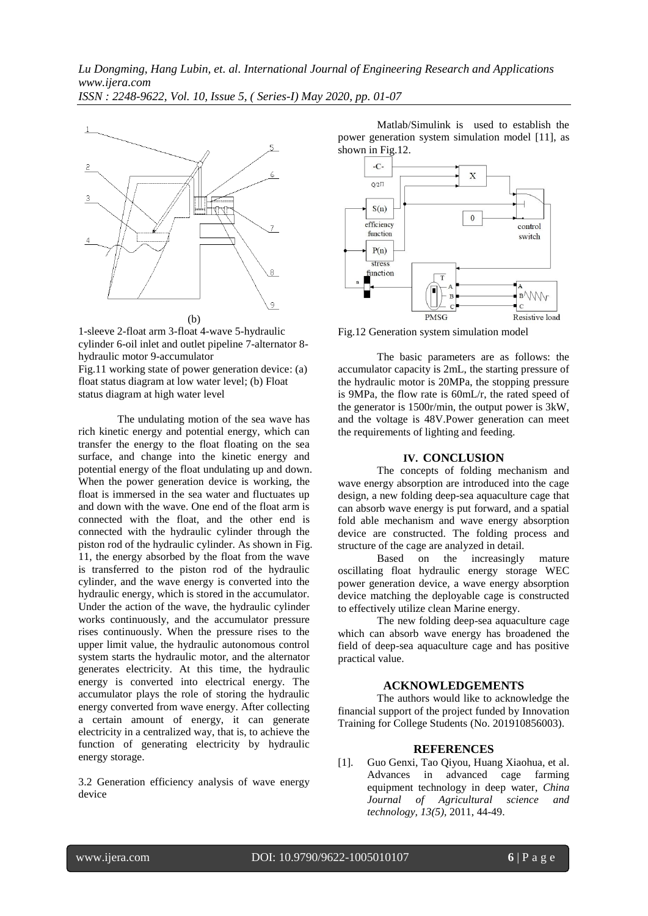*Lu Dongming, Hang Lubin, et. al. International Journal of Engineering Research and Applications www.ijera.com*

*ISSN : 2248-9622, Vol. 10, Issue 5, ( Series-I) May 2020, pp. 01-07*





Fig.11 working state of power generation device: (a) float status diagram at low water level; (b) Float status diagram at high water level

The undulating motion of the sea wave has rich kinetic energy and potential energy, which can transfer the energy to the float floating on the sea surface, and change into the kinetic energy and potential energy of the float undulating up and down. When the power generation device is working, the float is immersed in the sea water and fluctuates up and down with the wave. One end of the float arm is connected with the float, and the other end is connected with the hydraulic cylinder through the piston rod of the hydraulic cylinder. As shown in Fig. 11, the energy absorbed by the float from the wave is transferred to the piston rod of the hydraulic cylinder, and the wave energy is converted into the hydraulic energy, which is stored in the accumulator. Under the action of the wave, the hydraulic cylinder works continuously, and the accumulator pressure rises continuously. When the pressure rises to the upper limit value, the hydraulic autonomous control system starts the hydraulic motor, and the alternator generates electricity. At this time, the hydraulic energy is converted into electrical energy. The accumulator plays the role of storing the hydraulic energy converted from wave energy. After collecting a certain amount of energy, it can generate electricity in a centralized way, that is, to achieve the function of generating electricity by hydraulic energy storage.

3.2 Generation efficiency analysis of wave energy device

Matlab/Simulink is used to establish the power generation system simulation model [11], as shown in Fig.12.



Fig.12 Generation system simulation model

The basic parameters are as follows: the accumulator capacity is 2mL, the starting pressure of the hydraulic motor is 20MPa, the stopping pressure is 9MPa, the flow rate is 60mL/r, the rated speed of the generator is 1500r/min, the output power is 3kW, and the voltage is 48V.Power generation can meet the requirements of lighting and feeding.

# **IV. CONCLUSION**

The concepts of folding mechanism and wave energy absorption are introduced into the cage design, a new folding deep-sea aquaculture cage that can absorb wave energy is put forward, and a spatial fold able mechanism and wave energy absorption device are constructed. The folding process and structure of the cage are analyzed in detail.

Based on the increasingly mature oscillating float hydraulic energy storage WEC power generation device, a wave energy absorption device matching the deployable cage is constructed to effectively utilize clean Marine energy.

The new folding deep-sea aquaculture cage which can absorb wave energy has broadened the field of deep-sea aquaculture cage and has positive practical value.

### **ACKNOWLEDGEMENTS**

The authors would like to acknowledge the financial support of the project funded by Innovation Training for College Students (No. 201910856003).

# **REFERENCES**

[1]. Guo Genxi, Tao Qiyou, Huang Xiaohua, et al. Advances in advanced cage farming equipment technology in deep water, *China Journal of Agricultural science and technology, 13(5),* 2011, 44-49.